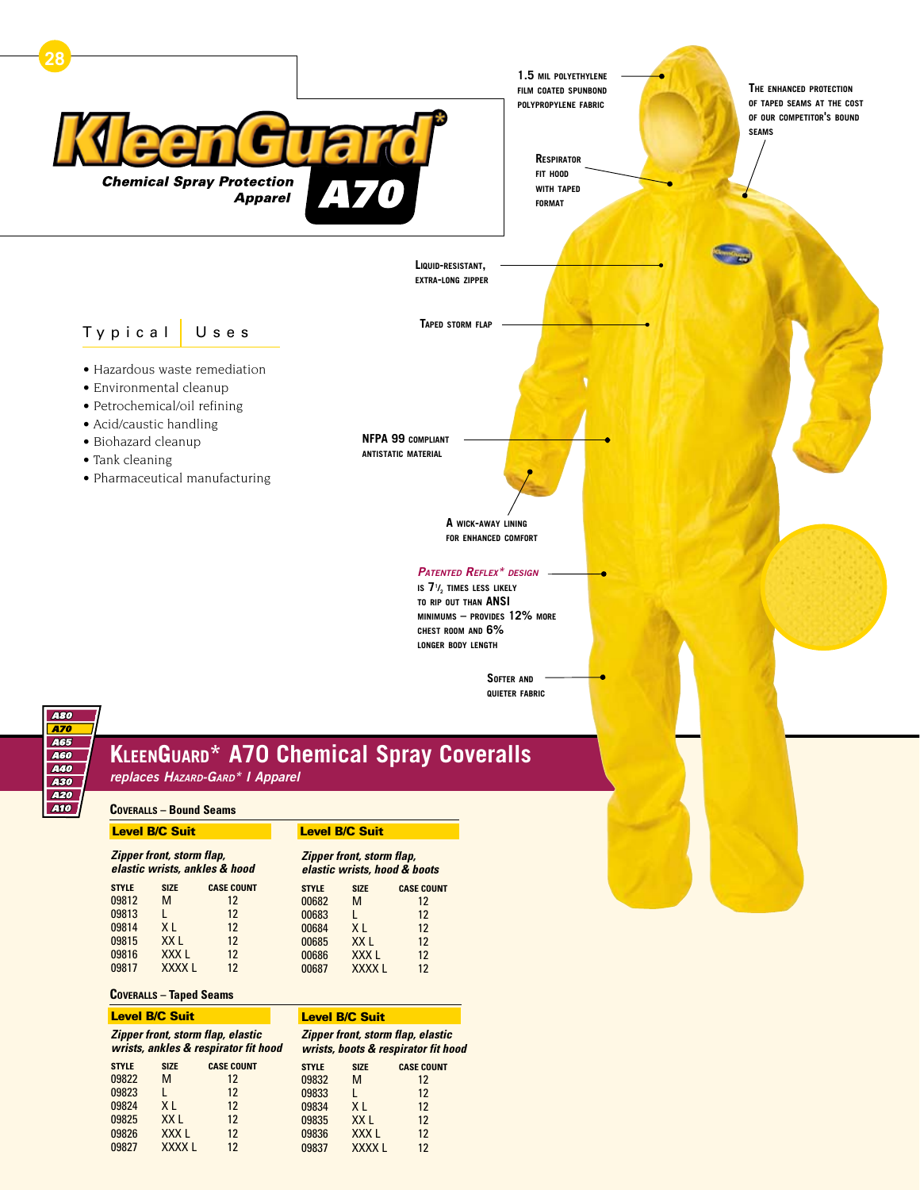

**chest room and 6% longer body length**

> **Softer and quieter fabric**



# **KleenGuard\* A70 Chemical Spray Coveralls**

*replaces Hazard-Gard\* I Apparel*

#### **Coveralls – Bound Seams**

| <b>Level B/C Suit</b>                                      |              | <b>Level B/C Suit</b>                                     |              |                  |                   |
|------------------------------------------------------------|--------------|-----------------------------------------------------------|--------------|------------------|-------------------|
| Zipper front, storm flap,<br>elastic wrists, ankles & hood |              | Zipper front, storm flap,<br>elastic wrists, hood & boots |              |                  |                   |
| <b>STYLE</b>                                               | <b>SIZE</b>  | <b>CASE COUNT</b>                                         | <b>STYLE</b> | <b>SIZE</b>      | <b>CASE COUNT</b> |
| 09812                                                      | М            | $12 \,$                                                   | 00682        | M                | $12 \text{ }$     |
| 09813                                                      |              | $12 \,$                                                   | 00683        | L                | $12 \,$           |
| 09814                                                      | X L          | $12 \,$                                                   | 00684        | XI.              | $12 \,$           |
| 09815                                                      | XX L         | $12 \,$                                                   | 00685        | XX <sub>L</sub>  | $12 \,$           |
| 09816                                                      | XXX I        | $12 \,$                                                   | 00686        | XXX <sub>L</sub> | $12 \,$           |
| 09817                                                      | <b>XXXXL</b> | 12                                                        | 00687        | <b>XXXXL</b>     | 12                |

### **Coveralls – Taped Seams**

| <b>Level B/C Suit</b>                                                     |                  |                   |              | <b>Level B/C Suit</b> |                                                                          |
|---------------------------------------------------------------------------|------------------|-------------------|--------------|-----------------------|--------------------------------------------------------------------------|
| Zipper front, storm flap, elastic<br>wrists, ankles & respirator fit hood |                  |                   |              |                       | Zipper front, storm flap, elastic<br>wrists, boots & respirator fit hood |
| <b>STYLE</b>                                                              | <b>SIZE</b>      | <b>CASE COUNT</b> | <b>STYLE</b> | <b>SIZE</b>           | <b>CASE COUNT</b>                                                        |
| 09822                                                                     | M                | 12                | 09832        | м                     | 12                                                                       |
| 09823                                                                     |                  | $12 \,$           | 09833        |                       | $12 \,$                                                                  |
| 09824                                                                     | XI.              | $12 \,$           | 09834        | X <sub>1</sub>        | $12 \,$                                                                  |
| 09825                                                                     | XX <sub>L</sub>  | $12 \,$           | 09835        | XX L                  | 12                                                                       |
| 09826                                                                     | XXX <sub>L</sub> | 12                | 09836        | XXX <sub>L</sub>      | 12                                                                       |
| 09827                                                                     | <b>XXXXL</b>     | 12                | 09837        | <b>XXXXL</b>          | 12                                                                       |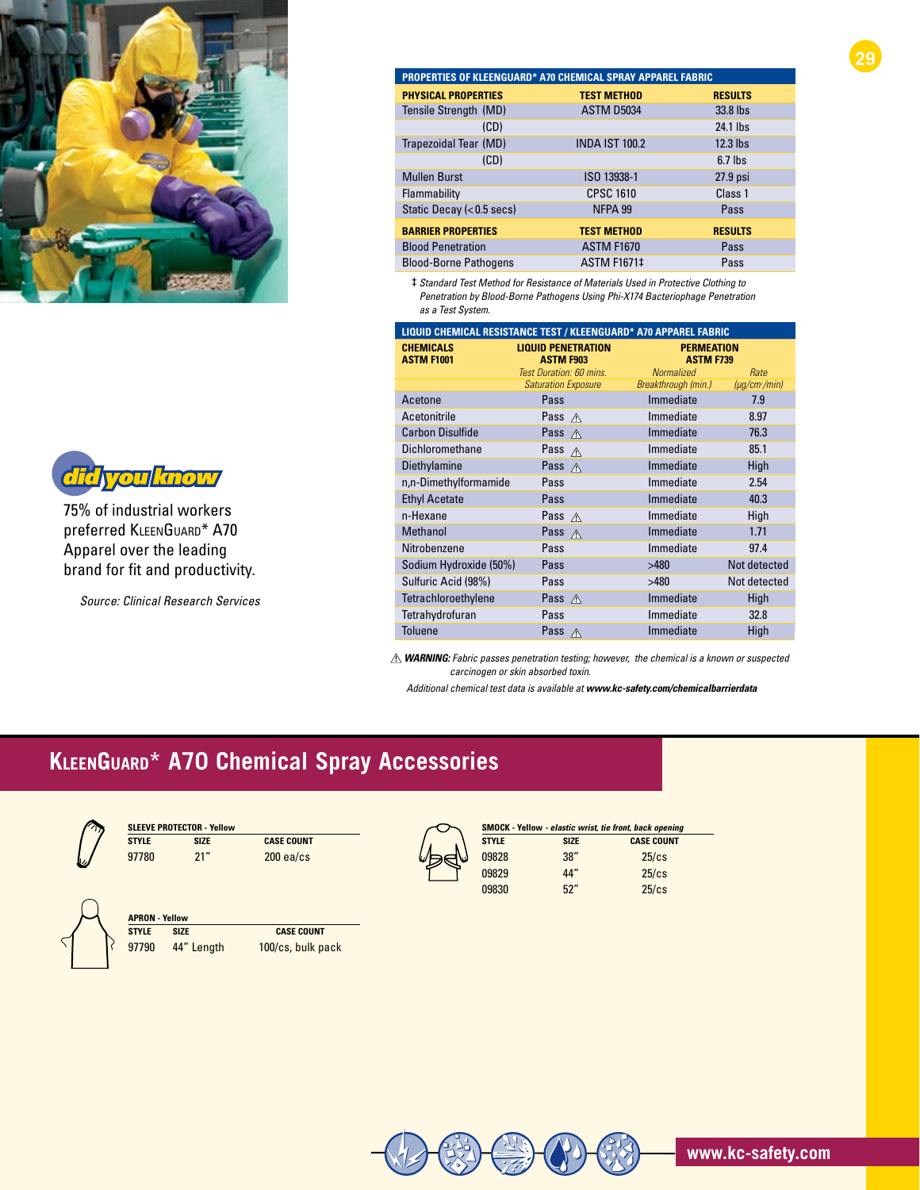



75% of industrial workers preferred KleenGuard\* A70 Apparel over the leading brand for fit and productivity.

*Source: Clinical Research Services*

| PROPERTIES OF KLEENGUARD* A70 CHEMICAL SPRAY APPAREL FABRIC |                       |                |  |
|-------------------------------------------------------------|-----------------------|----------------|--|
| <b>PHYSICAL PROPERTIES</b>                                  | <b>TEST METHOD</b>    | <b>RESULTS</b> |  |
| Tensile Strength (MD)                                       | <b>ASTM D5034</b>     | 33.8 lbs       |  |
| (CD)                                                        |                       | 24.1 lbs       |  |
| Trapezoidal Tear (MD)                                       | <b>INDA IST 100.2</b> | 12.3 lbs       |  |
| (CD)                                                        |                       | $6.7$ lbs      |  |
| <b>Mullen Burst</b>                                         | ISO 13938-1           | 27.9 psi       |  |
| Flammability                                                | <b>CPSC 1610</b>      | Class 1        |  |
| Static Decay (< 0.5 secs)                                   | NFPA 99               | Pass           |  |
| <b>BARRIER PROPERTIES</b>                                   | <b>TEST METHOD</b>    | <b>RESULTS</b> |  |
| <b>Blood Penetration</b>                                    | <b>ASTM F1670</b>     | Pass           |  |
| <b>Blood-Borne Pathogens</b>                                | <b>ASTM F1671‡</b>    | Pass           |  |

**29**

‡ *Standard Test Method for Resistance of Materials Used in Protective Clothing to Penetration by Blood-Borne Pathogens Using Phi-X174 Bacteriophage Penetration as a Test System.*

| LIQUID CHEMICAL RESISTANCE TEST / KLEENGUARD* A70 APPAREL FABRIC |                                               |                                       |                   |
|------------------------------------------------------------------|-----------------------------------------------|---------------------------------------|-------------------|
| <b>CHEMICALS</b><br><b>ASTM F1001</b>                            | <b>LIQUID PENETRATION</b><br><b>ASTM F903</b> | <b>PERMEATION</b><br><b>ASTM F739</b> |                   |
|                                                                  | Test Duration: 60 mins.                       | <b>Normalized</b>                     | Rate              |
|                                                                  | <b>Saturation Exposure</b>                    | Breakthrough (min.)                   | $(\mu q/cm2/min)$ |
| Acetone                                                          | Pass                                          | Immediate                             | 7.9               |
| Acetonitrile                                                     | Pass $\land$                                  | Immediate                             | 8.97              |
| <b>Carbon Disulfide</b>                                          | Pass $\triangle$                              | Immediate                             | 76.3              |
| Dichloromethane                                                  | Pass A                                        | Immediate                             | 85.1              |
| Diethylamine                                                     | Pass $\land$                                  | Immediate                             | High              |
| n,n-Dimethylformamide                                            | Pass                                          | Immediate                             | 2.54              |
| <b>Ethyl Acetate</b>                                             | Pass                                          | Immediate                             | 40.3              |
| n-Hexane                                                         | Pass $\triangle$                              | Immediate                             | High              |
| <b>Methanol</b>                                                  | Pass $\triangle$                              | Immediate                             | 1.71              |
| Nitrobenzene                                                     | Pass                                          | Immediate                             | 97.4              |
| Sodium Hydroxide (50%)                                           | Pass                                          | >480                                  | Not detected      |
| Sulfuric Acid (98%)                                              | Pass                                          | >480                                  | Not detected      |
| Tetrachloroethylene                                              | Pass $\land$                                  | Immediate                             | High              |
| Tetrahydrofuran                                                  | Pass                                          | Immediate                             | 32.8              |
| <b>Toluene</b>                                                   | Pass $\triangle$                              | Immediate                             | High              |

 *warning: Fabric passes penetration testing; however, the chemical is a known or suspected carcinogen or skin absorbed toxin.*

 *Additional chemical test data is available at www.kc-safety.com/chemicalbarrierdata*

## **KleenGuard\* A70 Chemical Spray Accessories**



| <b>SLEEVE PROTECTOR - Yellow</b> |      |                   |
|----------------------------------|------|-------------------|
| <b>STYLE</b>                     | SI7F | <b>CASE COUNT</b> |
| 97780                            | 21"  | $200$ ea/cs       |



| <b>APRON - Yellow</b> |            |                   |
|-----------------------|------------|-------------------|
| <b>STYLE</b>          | SI7F       | <b>CASE COUNT</b> |
| 97790                 | 44" Length | 100/cs, bulk pack |

|--|

| <b>SMOCK</b> - Yellow - elastic wrist, tie front, back opening |             |                   |
|----------------------------------------------------------------|-------------|-------------------|
| <b>STYLE</b>                                                   | <b>SIZE</b> | <b>CASE COUNT</b> |
| 09828                                                          | 38''        | $25$ / $cs$       |
| 09829                                                          | 44"         | $25$ / $cs$       |
| 09830                                                          | 52"         | $25$ / $cs$       |